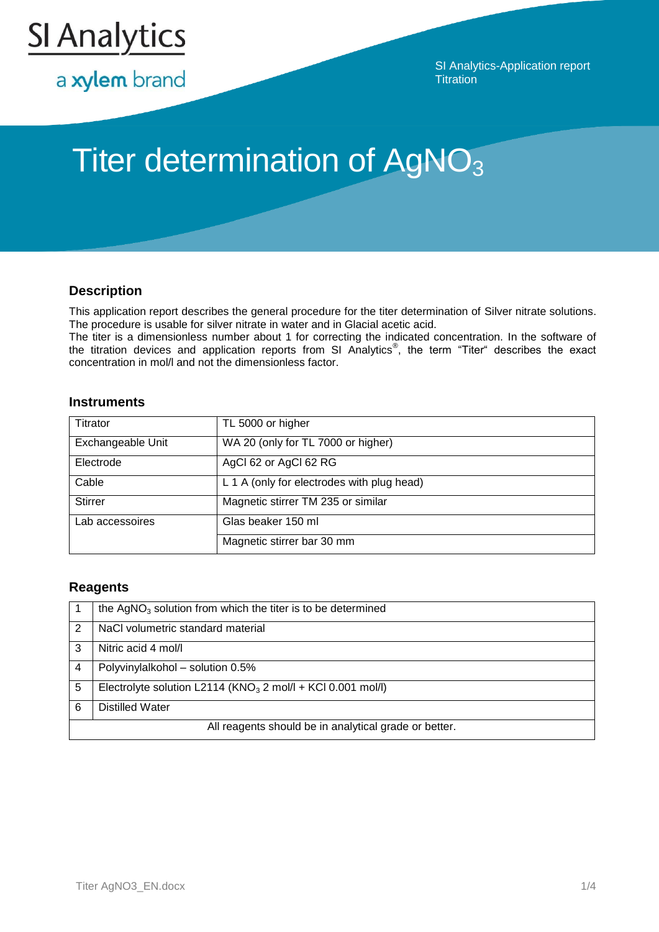

a xylem brand

SI Analytics-Application report **Titration** 

# Titer determination of AgNO<sub>3</sub>

# **Description**

This application report describes the general procedure for the titer determination of Silver nitrate solutions. The procedure is usable for silver nitrate in water and in Glacial acetic acid.

The titer is a dimensionless number about 1 for correcting the indicated concentration. In the software of the titration devices and application reports from SI Analytics<sup>®</sup>, the term "Titer" describes the exact concentration in mol/l and not the dimensionless factor.

## **Instruments**

| Titrator          | TL 5000 or higher                          |
|-------------------|--------------------------------------------|
| Exchangeable Unit | WA 20 (only for TL 7000 or higher)         |
| Electrode         | AgCl 62 or AgCl 62 RG                      |
| Cable             | L 1 A (only for electrodes with plug head) |
| <b>Stirrer</b>    | Magnetic stirrer TM 235 or similar         |
| Lab accessoires   | Glas beaker 150 ml                         |
|                   | Magnetic stirrer bar 30 mm                 |

## **Reagents**

|                                                       | the $AgNO3$ solution from which the titer is to be determined  |  |
|-------------------------------------------------------|----------------------------------------------------------------|--|
| 2                                                     | NaCl volumetric standard material                              |  |
| 3                                                     | Nitric acid 4 mol/l                                            |  |
|                                                       | Polyvinylalkohol - solution 0.5%                               |  |
| 5                                                     | Electrolyte solution L2114 ( $KNO3$ 2 mol/l + KCl 0.001 mol/l) |  |
| 6                                                     | <b>Distilled Water</b>                                         |  |
| All reagents should be in analytical grade or better. |                                                                |  |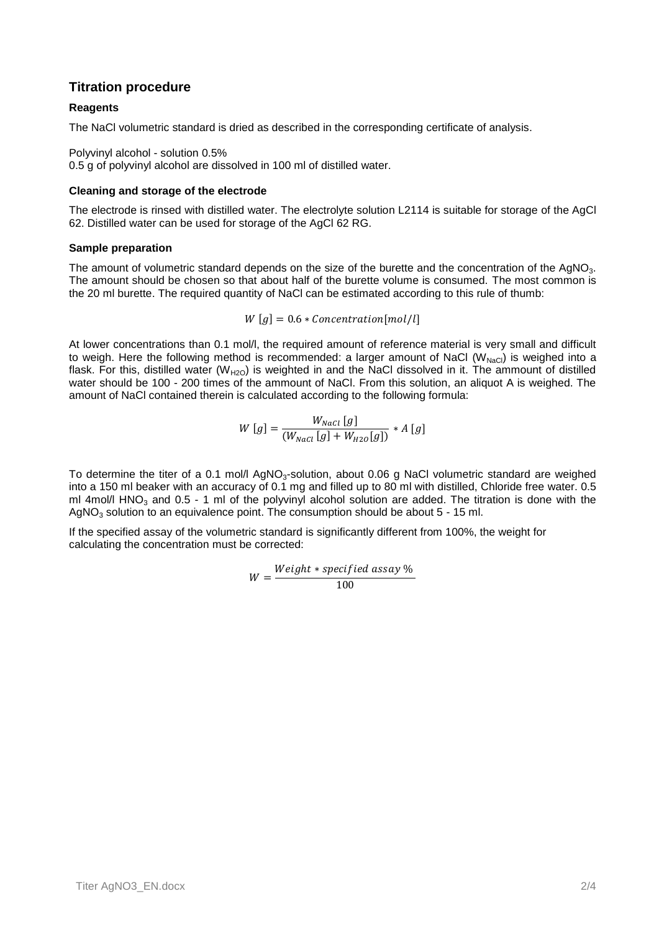## **Titration procedure**

#### **Reagents**

The NaCl volumetric standard is dried as described in the corresponding certificate of analysis.

Polyvinyl alcohol - solution 0.5%

0.5 g of polyvinyl alcohol are dissolved in 100 ml of distilled water.

#### **Cleaning and storage of the electrode**

The electrode is rinsed with distilled water. The electrolyte solution L2114 is suitable for storage of the AgCl 62. Distilled water can be used for storage of the AgCl 62 RG.

#### **Sample preparation**

The amount of volumetric standard depends on the size of the burette and the concentration of the AgNO<sub>3</sub>. The amount should be chosen so that about half of the burette volume is consumed. The most common is the 20 ml burette. The required quantity of NaCl can be estimated according to this rule of thumb:

$$
W[g] = 0.6 * Concentration[mol/l]
$$

At lower concentrations than 0.1 mol/l, the required amount of reference material is very small and difficult to weigh. Here the following method is recommended: a larger amount of NaCl ( $W_{NaCl}$ ) is weighed into a flask. For this, distilled water ( $W_{H2O}$ ) is weighted in and the NaCl dissolved in it. The ammount of distilled water should be 100 - 200 times of the ammount of NaCl. From this solution, an aliquot A is weighed. The amount of NaCl contained therein is calculated according to the following formula:

$$
W\left[g\right] = \frac{W_{Nacl}\left[g\right]}{\left(W_{Nacl}\left[g\right] + W_{H20}\left[g\right]\right)} * A\left[g\right]
$$

To determine the titer of a 0.1 mol/l AgNO<sub>3</sub>-solution, about 0.06 g NaCl volumetric standard are weighed into a 150 ml beaker with an accuracy of 0.1 mg and filled up to 80 ml with distilled, Chloride free water. 0.5 ml 4mol/l HNO<sub>3</sub> and 0.5 - 1 ml of the polyvinyl alcohol solution are added. The titration is done with the AgNO<sub>3</sub> solution to an equivalence point. The consumption should be about  $5 - 15$  ml.

If the specified assay of the volumetric standard is significantly different from 100%, the weight for calculating the concentration must be corrected:

$$
W = \frac{Weight * specified \; assay \; \%}{100}
$$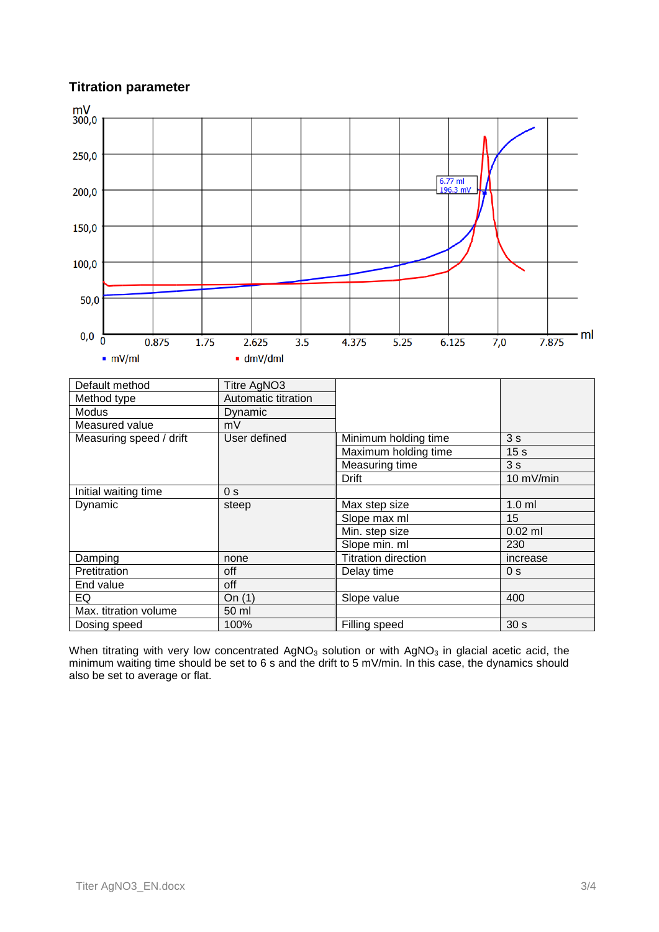# **Titration parameter**



When titrating with very low concentrated AgNO<sub>3</sub> solution or with AgNO<sub>3</sub> in glacial acetic acid, the minimum waiting time should be set to 6 s and the drift to 5 mV/min. In this case, the dynamics should also be set to average or flat.